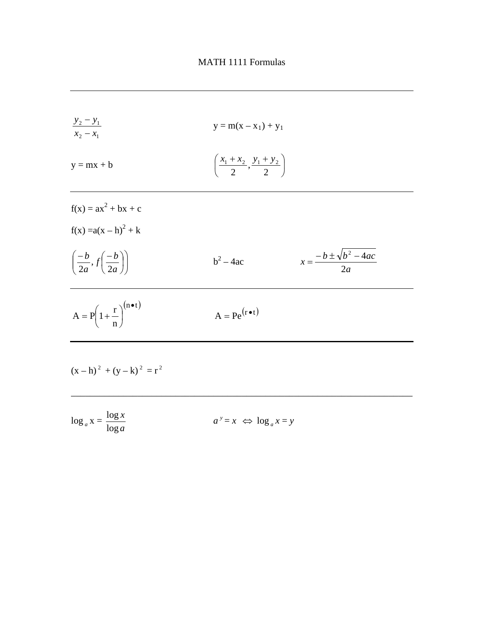

| $\log_a x = \frac{\log x}{\log a}$ | $a^y = x \Leftrightarrow \log_a x = y$ |
|------------------------------------|----------------------------------------|
|                                    |                                        |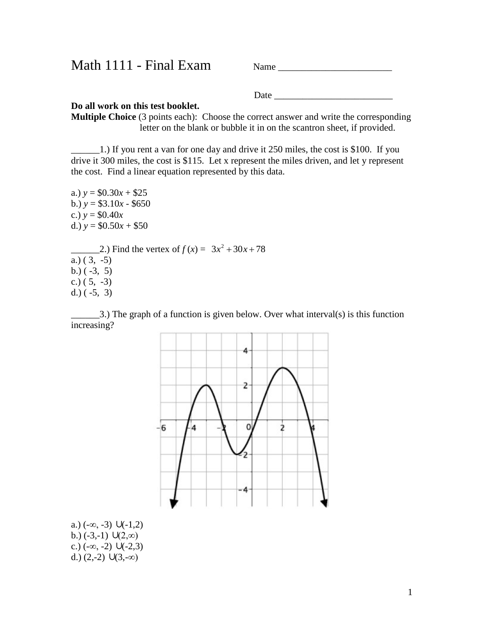Math 1111 - Final Exam Name \_\_\_\_\_\_\_\_\_\_\_\_\_\_\_\_\_\_\_\_\_\_\_\_

Date \_\_\_\_\_\_\_\_\_\_\_\_\_\_\_\_\_\_\_\_\_\_\_\_\_

#### **Do all work on this test booklet.**

**Multiple Choice** (3 points each): Choose the correct answer and write the corresponding letter on the blank or bubble it in on the scantron sheet, if provided.

 $\pm$  1.) If you rent a van for one day and drive it 250 miles, the cost is \$100. If you drive it 300 miles, the cost is \$115. Let x represent the miles driven, and let y represent the cost. Find a linear equation represented by this data.

a.)  $y = $0.30x + $25$ b.) *y* = \$3.10*x* - \$650 c.)  $y = $0.40x$ d.)  $y = $0.50x + $50$ 2.) Find the vertex of  $f(x) = 3x^2 + 30x + 78$ a.)  $(3, -5)$ b.)  $(-3, 5)$ c.)  $(5, -3)$ d.) ( -5, 3)

 $\Box$ 3.) The graph of a function is given below. Over what interval(s) is this function increasing?



a.)  $(-\infty, -3) \cup (-1,2)$ b.)  $(-3,-1)$   $U(2,\infty)$ c.)  $(-\infty, -2)$   $U(-2, 3)$ d.)  $(2,-2) \cup (3,-\infty)$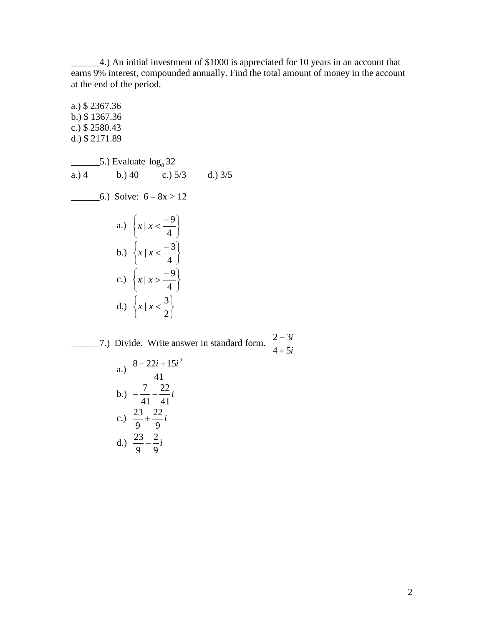\_\_\_\_\_\_4.) An initial investment of \$1000 is appreciated for 10 years in an account that earns 9% interest, compounded annually. Find the total amount of money in the account at the end of the period.

a.) \$ 2367.36 b.) \$ 1367.36 c.) \$ 2580.43 d.) \$ 2171.89  $\frac{1}{2}$  5.) Evaluate  $\log_8 32$ a.) 4 b.) 40 c.)  $5/3$  d.)  $3/5$  $-$ 6.) Solve:  $6 - 8x > 12$ a.)  $\left\{ x \mid x < \frac{3}{4} \right\}$  $\mathbf{I}$  $\overline{\mathcal{L}}$  $\begin{cases} x \mid x < - \end{cases}$ 4  $x \mid x < \frac{-9}{4}$ b.)  $\left\{ x \mid x < \frac{3}{4} \right\}$  $\mathcal{L}$  $\overline{\mathcal{L}}$  $\left\{ x \mid x \right\}$  = 4  $x \mid x < \frac{-3}{4}$ c.)  $\left\{ x \mid x > \frac{3}{4} \right\}$  $\overline{1}$  $\overline{\mathcal{L}}$  $\int x \mid x > -$ 4  $x \mid x > \frac{-9}{4}$ d.)  $\left\{ x \mid x < \frac{3}{2} \right\}$  $\mathbf{I}$  $\overline{\mathcal{L}}$  $\int x | x <$ 2  $\left| x \right| x < \frac{3}{2}$ 2-3*i* 2.1 Divide. Write answer in standard form.  $\frac{2-3i}{4+5i}$ 

 $4 + 5$  $2 - 3$ + −

a.) 
$$
\frac{8 - 22i + 15i^2}{41}
$$
  
\nb.) 
$$
-\frac{7}{41} - \frac{22}{41}i
$$
  
\nc.) 
$$
\frac{23}{9} + \frac{22}{9}i
$$
  
\nd.) 
$$
\frac{23}{9} - \frac{2}{9}i
$$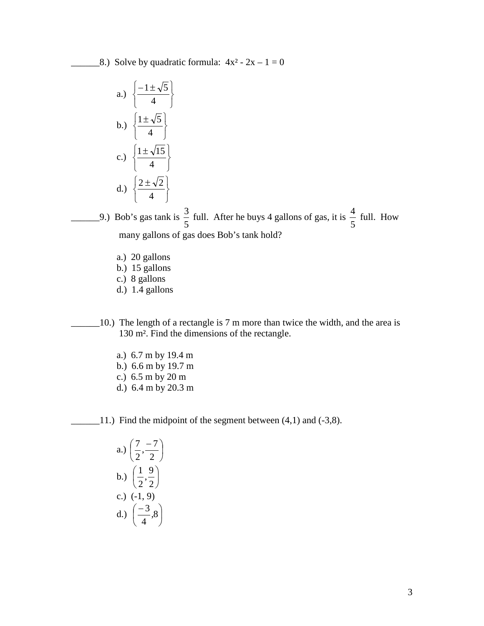$\text{\_8.}$ ) Solve by quadratic formula:  $4x^2 - 2x - 1 = 0$ 

a.) 
$$
\left\{ \frac{-1 \pm \sqrt{5}}{4} \right\}
$$
  
b.) 
$$
\left\{ \frac{1 \pm \sqrt{5}}{4} \right\}
$$
  
c.) 
$$
\left\{ \frac{1 \pm \sqrt{15}}{4} \right\}
$$
  
d.) 
$$
\left\{ \frac{2 \pm \sqrt{2}}{4} \right\}
$$

9.) Bob's gas tank is  $\frac{3}{5}$  full. After he buys 4 gallons of gas, it is  $\frac{4}{5}$  full. How many gallons of gas does Bob's tank hold?

- a.) 20 gallons
- b.) 15 gallons
- c.) 8 gallons
- d.) 1.4 gallons
- \_\_\_\_\_\_10.) The length of a rectangle is 7 m more than twice the width, and the area is 130 m². Find the dimensions of the rectangle.
	- a.) 6.7 m by 19.4 m
	- b.) 6.6 m by 19.7 m
	- c.) 6.5 m by 20 m
	- d.) 6.4 m by 20.3 m

 $\_11$ .) Find the midpoint of the segment between (4,1) and (-3,8).

a.) 
$$
\left(\frac{7}{2}, \frac{-7}{2}\right)
$$
  
b.)  $\left(\frac{1}{2}, \frac{9}{2}\right)$   
c.) (-1, 9)  
d.)  $\left(\frac{-3}{4}, 8\right)$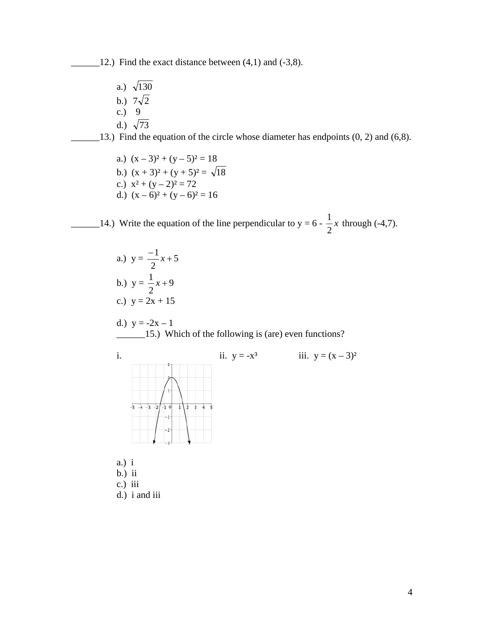12.) Find the exact distance between  $(4,1)$  and  $(-3,8)$ .

a.)  $\sqrt{130}$ b.)  $7\sqrt{2}$ c.)  $9$ d.)  $\sqrt{73}$ 

 $\Box$ 13.) Find the equation of the circle whose diameter has endpoints (0, 2) and (6,8).

- a.)  $(x-3)^2 + (y-5)^2 = 18$ b.)  $(x + 3)^2 + (y + 5)^2 = \sqrt{18}$ c.)  $x^2 + (y - 2)^2 = 72$
- d.)  $(x-6)^2 + (y-6)^2 = 16$

 $\frac{1}{2}$  14.) Write the equation of the line perpendicular to y = 6 -  $\frac{1}{2}x$ 2  $\frac{1}{2}$ x through (-4,7).

> a.)  $y = -\frac{1}{2}x + 5$ 2  $\frac{-1}{2}x +$ b.)  $y = -x + 9$ 2  $\frac{1}{2}x +$ c.)  $y = 2x + 15$

d.) 
$$
y = -2x - 1
$$
  
15.) Which of the following is (are) even functions?



- b.) ii
- c.) iii
- d.) i and iii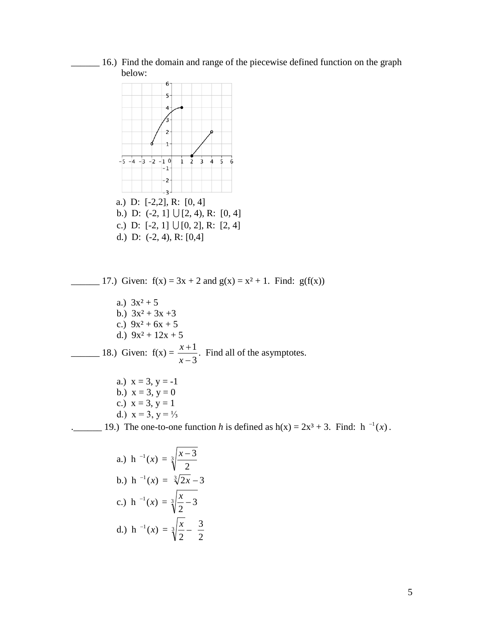\_\_\_\_\_\_ 16.) Find the domain and range of the piecewise defined function on the graph below:



a.) 
$$
h^{-1}(x) = \sqrt[3]{\frac{x-3}{2}}
$$
  
\nb.)  $h^{-1}(x) = \sqrt[3]{2x-3}$   
\nc.)  $h^{-1}(x) = \sqrt[3]{\frac{x}{2}-3}$   
\nd.)  $h^{-1}(x) = \sqrt[3]{\frac{x}{2}-\frac{3}{2}}$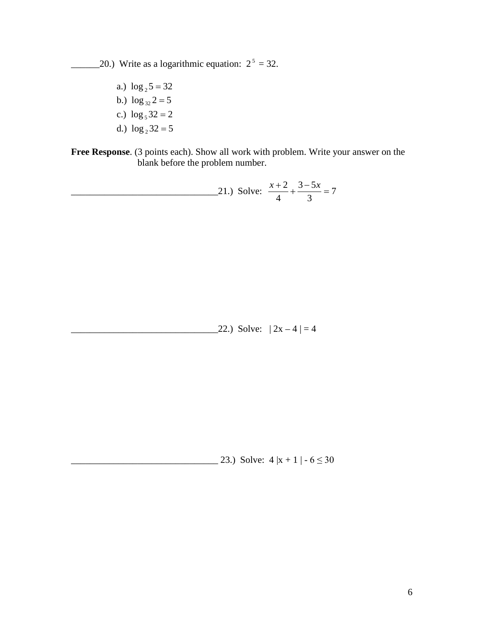20.) Write as a logarithmic equation:  $2^5 = 32$ .

a.)  $\log_2 5 = 32$ b.)  $\log_{32} 2 = 5$ c.)  $\log_5 32 = 2$ d.)  $\log_2 32 = 5$ 

**Free Response**. (3 points each). Show all work with problem. Write your answer on the blank before the problem number.

21.) Solve: 
$$
\frac{x+2}{4} + \frac{3-5x}{3} = 7
$$

 $22.$ ) Solve:  $|2x-4| = 4$ 

 $\frac{23.1 \text{ Solve: } 4 |x+1| - 6 \leq 30}{23.1}$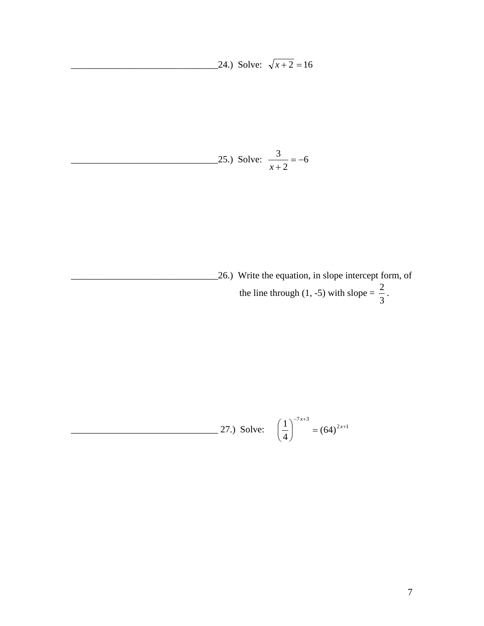24.) Solve:  $\sqrt{x+2} = 16$ 

25.) Solve: 
$$
\frac{3}{x+2} = -6
$$

\_\_\_\_\_\_\_\_\_\_\_\_\_\_\_\_\_\_\_\_\_\_\_\_\_\_\_\_\_\_\_26.) Write the equation, in slope intercept form, of the line through (1, -5) with slope =  $\frac{2}{3}$ .

27.) Solve: 
$$
\left(\frac{1}{4}\right)^{-7x+3} = (64)^{2x+1}
$$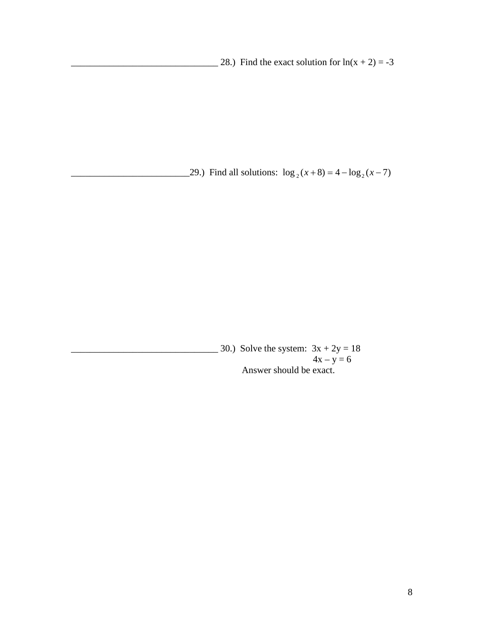28.) Find the exact solution for  $ln(x + 2) = -3$ 

\_29.) Find all solutions:  $\log_2(x+8) = 4 - \log_2(x-7)$ 

 $\frac{1}{2}$  30.) Solve the system:  $3x + 2y = 18$  $4x - y = 6$ Answer should be exact.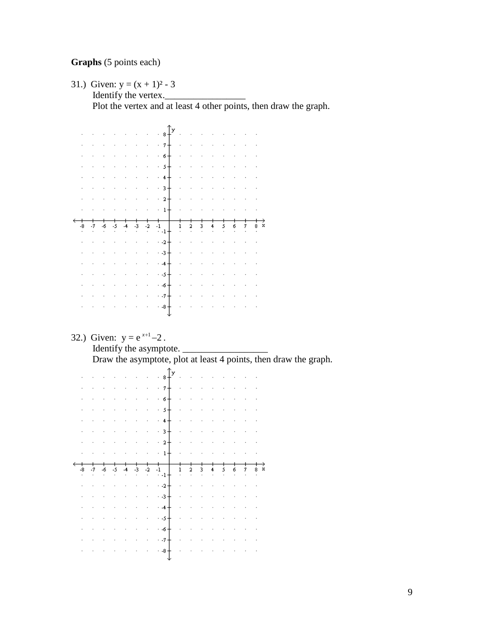# **Graphs** (5 points each)

31.) Given:  $y = (x + 1)^2 - 3$ 

Identify the vertex.\_\_\_\_\_\_\_\_\_\_\_\_\_\_\_\_\_

Plot the vertex and at least 4 other points, then draw the graph.

|  |  |         |                                                           | a in                    | $\cdot$ 8.            |  |                                                                                                 |  |                             |                      |                            |  |
|--|--|---------|-----------------------------------------------------------|-------------------------|-----------------------|--|-------------------------------------------------------------------------------------------------|--|-----------------------------|----------------------|----------------------------|--|
|  |  |         |                                                           | $\ddot{\phantom{a}}$    | $\cdot$ $\rightarrow$ |  |                                                                                                 |  |                             |                      |                            |  |
|  |  |         |                                                           | $\ddot{\phantom{a}}$    | ا⊸ ۰                  |  |                                                                                                 |  | $\mathcal{L}_{\mathcal{A}}$ | $\mathbb{R}^2$       |                            |  |
|  |  |         |                                                           | $\mathbb{R}^2$          | $5 +$<br>l,           |  |                                                                                                 |  |                             |                      |                            |  |
|  |  |         |                                                           | $\sim$ .                | $+$                   |  |                                                                                                 |  |                             |                      |                            |  |
|  |  |         |                                                           | $\bar{\phantom{a}}$     | -3 +<br>ł,            |  |                                                                                                 |  | ÷,                          |                      |                            |  |
|  |  |         |                                                           |                         | $2+$<br>×,            |  |                                                                                                 |  | ÷,                          |                      |                            |  |
|  |  |         |                                                           | $\sim 100$ km s $^{-1}$ | $\cdot$ 1+            |  |                                                                                                 |  |                             |                      |                            |  |
|  |  |         |                                                           |                         |                       |  |                                                                                                 |  |                             |                      |                            |  |
|  |  |         |                                                           |                         |                       |  |                                                                                                 |  |                             |                      |                            |  |
|  |  |         |                                                           |                         | $-1+$                 |  |                                                                                                 |  |                             | 7                    |                            |  |
|  |  |         |                                                           | ï                       | $+ -2 +$              |  |                                                                                                 |  |                             | $\ddot{\phantom{a}}$ |                            |  |
|  |  |         |                                                           | $\ddot{\phantom{0}}$    | - -3 †                |  |                                                                                                 |  |                             |                      |                            |  |
|  |  |         |                                                           |                         | $-4 +$                |  |                                                                                                 |  |                             |                      |                            |  |
|  |  |         |                                                           |                         | ∤ۍ                    |  |                                                                                                 |  |                             |                      |                            |  |
|  |  |         |                                                           | ï                       | ا⊸ ۰                  |  |                                                                                                 |  |                             | $\mathcal{A}$        |                            |  |
|  |  |         |                                                           | ï                       | $-7+$                 |  |                                                                                                 |  |                             |                      |                            |  |
|  |  | $\cdot$ | $\mathcal{L}(\mathcal{A})$ and $\mathcal{L}(\mathcal{A})$ | $\cdot$                 | $-8-$                 |  | $\mathcal{L}^{\mathcal{A}}$ , where $\mathcal{L}^{\mathcal{A}}$ and $\mathcal{L}^{\mathcal{A}}$ |  | $\sim$                      | $\mathbb{R}^2$       | $\overline{\phantom{a}}$ . |  |

### 32.) Given:  $y = e^{x+1} - 2$ .

# Identify the asymptote.

Draw the asymptote, plot at least 4 points, then draw the graph.

|  |  |        |                             | $\cdot$ $\cdot$ 8 -                                 |                               | $\mathcal{L}^{\text{max}}$ |                      |        | and the company |                            |  |
|--|--|--------|-----------------------------|-----------------------------------------------------|-------------------------------|----------------------------|----------------------|--------|-----------------|----------------------------|--|
|  |  |        |                             | $\cdot \cdot \cdot \cdot \rightarrow + \cdot \cdot$ |                               |                            |                      |        |                 |                            |  |
|  |  |        | $\mathcal{L}^{\text{max}}$  | $· 6 +$                                             | $\overline{\phantom{a}}$      |                            |                      |        |                 |                            |  |
|  |  |        |                             | $\cdot$ $\cdot$ 5+ $\cdot$                          |                               |                            |                      |        |                 |                            |  |
|  |  |        |                             | $\cdots$ $4+$                                       |                               |                            |                      |        |                 |                            |  |
|  |  |        |                             | $\cdots$ 3+                                         |                               |                            |                      |        |                 |                            |  |
|  |  | $\sim$ |                             | $\cdots$ $\cdot$ $2 + \cdots$                       |                               |                            |                      |        |                 |                            |  |
|  |  |        |                             | $\sim$ $\sim$ $\sim$ $\sim$ $\sim$ $\sim$           |                               |                            | $\ddot{\phantom{0}}$ |        |                 |                            |  |
|  |  |        |                             |                                                     |                               |                            |                      |        |                 |                            |  |
|  |  |        |                             |                                                     |                               |                            |                      |        |                 |                            |  |
|  |  |        | -2<br>$\epsilon$            | $\ddot{ }$ -1+                                      | 1<br><b>Contract Contract</b> | 7                          | ٦                    | $\sim$ |                 |                            |  |
|  |  |        | $\mathcal{L}_{\mathcal{A}}$ | $-2+$                                               | $\sim$                        | ï                          |                      |        |                 | $\mathcal{L}^{\text{max}}$ |  |
|  |  |        | ä,                          | $-3+$                                               |                               |                            |                      |        |                 |                            |  |
|  |  |        | $\sim$                      | $\cdot$ -4 $+$                                      |                               |                            |                      |        |                 |                            |  |
|  |  |        | $\epsilon$                  | $-5+$                                               |                               |                            |                      |        |                 |                            |  |
|  |  |        | $\sim$                      | $+$ -6 $+$                                          |                               |                            |                      |        |                 |                            |  |
|  |  |        | $\epsilon$                  | $\cdot$ $\cdot$ $\tau$ +<br>$\cdot$ -8 $\pm$        | à.                            |                            |                      |        |                 |                            |  |